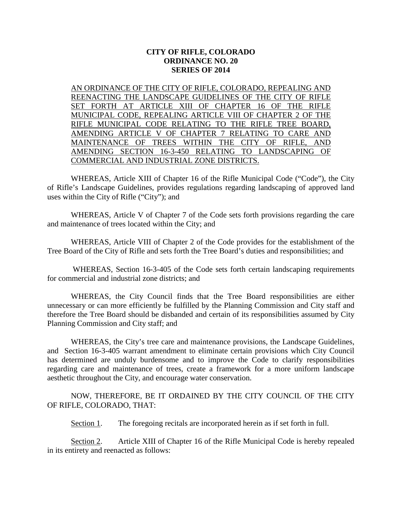# **CITY OF RIFLE, COLORADO ORDINANCE NO. 20 SERIES OF 2014**

AN ORDINANCE OF THE CITY OF RIFLE, COLORADO, REPEALING AND REENACTING THE LANDSCAPE GUIDELINES OF THE CITY OF RIFLE SET FORTH AT ARTICLE XIII OF CHAPTER 16 OF THE RIFLE MUNICIPAL CODE, REPEALING ARTICLE VIII OF CHAPTER 2 OF THE RIFLE MUNICIPAL CODE RELATING TO THE RIFLE TREE BOARD, AMENDING ARTICLE V OF CHAPTER 7 RELATING TO CARE AND MAINTENANCE OF TREES WITHIN THE CITY OF RIFLE, AND AMENDING SECTION 16-3-450 RELATING TO LANDSCAPING OF COMMERCIAL AND INDUSTRIAL ZONE DISTRICTS.

WHEREAS, Article XIII of Chapter 16 of the Rifle Municipal Code ("Code"), the City of Rifle's Landscape Guidelines, provides regulations regarding landscaping of approved land uses within the City of Rifle ("City"); and

WHEREAS, Article V of Chapter 7 of the Code sets forth provisions regarding the care and maintenance of trees located within the City; and

WHEREAS, Article VIII of Chapter 2 of the Code provides for the establishment of the Tree Board of the City of Rifle and sets forth the Tree Board's duties and responsibilities; and

WHEREAS, Section 16-3-405 of the Code sets forth certain landscaping requirements for commercial and industrial zone districts; and

WHEREAS, the City Council finds that the Tree Board responsibilities are either unnecessary or can more efficiently be fulfilled by the Planning Commission and City staff and therefore the Tree Board should be disbanded and certain of its responsibilities assumed by City Planning Commission and City staff; and

WHEREAS, the City's tree care and maintenance provisions, the Landscape Guidelines, and Section 16-3-405 warrant amendment to eliminate certain provisions which City Council has determined are unduly burdensome and to improve the Code to clarify responsibilities regarding care and maintenance of trees, create a framework for a more uniform landscape aesthetic throughout the City, and encourage water conservation.

NOW, THEREFORE, BE IT ORDAINED BY THE CITY COUNCIL OF THE CITY OF RIFLE, COLORADO, THAT:

Section 1. The foregoing recitals are incorporated herein as if set forth in full.

Section 2. Article XIII of Chapter 16 of the Rifle Municipal Code is hereby repealed in its entirety and reenacted as follows: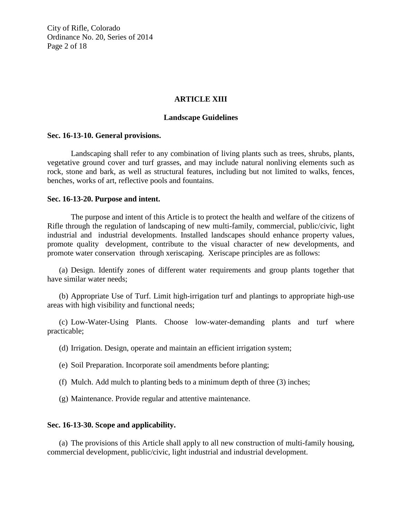City of Rifle, Colorado Ordinance No. 20, Series of 2014 Page 2 of 18

## **ARTICLE XIII**

## **Landscape Guidelines**

### **Sec. 16-13-10. General provisions.**

Landscaping shall refer to any combination of living plants such as trees, shrubs, plants, vegetative ground cover and turf grasses, and may include natural nonliving elements such as rock, stone and bark, as well as structural features, including but not limited to walks, fences, benches, works of art, reflective pools and fountains.

## **Sec. 16-13-20. Purpose and intent.**

The purpose and intent of this Article is to protect the health and welfare of the citizens of Rifle through the regulation of landscaping of new multi-family, commercial, public/civic, light industrial and industrial developments. Installed landscapes should enhance property values, promote quality development, contribute to the visual character of new developments, and promote water conservation through xeriscaping. Xeriscape principles are as follows:

(a) Design. Identify zones of different water requirements and group plants together that have similar water needs;

(b) Appropriate Use of Turf. Limit high-irrigation turf and plantings to appropriate high-use areas with high visibility and functional needs;

(c) Low-Water-Using Plants. Choose low-water-demanding plants and turf where practicable;

(d) Irrigation. Design, operate and maintain an efficient irrigation system;

- (e) Soil Preparation. Incorporate soil amendments before planting;
- (f) Mulch. Add mulch to planting beds to a minimum depth of three (3) inches;
- (g) Maintenance. Provide regular and attentive maintenance.

## **Sec. 16-13-30. Scope and applicability.**

(a) The provisions of this Article shall apply to all new construction of multi-family housing, commercial development, public/civic, light industrial and industrial development.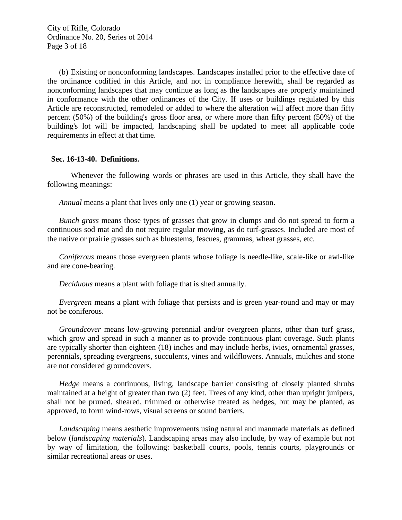(b) Existing or nonconforming landscapes. Landscapes installed prior to the effective date of the ordinance codified in this Article, and not in compliance herewith, shall be regarded as nonconforming landscapes that may continue as long as the landscapes are properly maintained in conformance with the other ordinances of the City. If uses or buildings regulated by this Article are reconstructed, remodeled or added to where the alteration will affect more than fifty percent (50%) of the building's gross floor area, or where more than fifty percent (50%) of the building's lot will be impacted, landscaping shall be updated to meet all applicable code requirements in effect at that time.

# **Sec. 16-13-40. Definitions.**

Whenever the following words or phrases are used in this Article, they shall have the following meanings:

*Annual* means a plant that lives only one (1) year or growing season.

*Bunch grass* means those types of grasses that grow in clumps and do not spread to form a continuous sod mat and do not require regular mowing, as do turf-grasses. Included are most of the native or prairie grasses such as bluestems, fescues, grammas, wheat grasses, etc.

*Coniferous* means those evergreen plants whose foliage is needle-like, scale-like or awl-like and are cone-bearing.

*Deciduous* means a plant with foliage that is shed annually.

*Evergreen* means a plant with foliage that persists and is green year-round and may or may not be coniferous.

*Groundcover* means low-growing perennial and/or evergreen plants, other than turf grass, which grow and spread in such a manner as to provide continuous plant coverage. Such plants are typically shorter than eighteen (18) inches and may include herbs, ivies, ornamental grasses, perennials, spreading evergreens, succulents, vines and wildflowers. Annuals, mulches and stone are not considered groundcovers.

*Hedge* means a continuous, living, landscape barrier consisting of closely planted shrubs maintained at a height of greater than two (2) feet. Trees of any kind, other than upright junipers, shall not be pruned, sheared, trimmed or otherwise treated as hedges, but may be planted, as approved, to form wind-rows, visual screens or sound barriers.

*Landscaping* means aesthetic improvements using natural and manmade materials as defined below (*landscaping materials*). Landscaping areas may also include, by way of example but not by way of limitation, the following: basketball courts, pools, tennis courts, playgrounds or similar recreational areas or uses.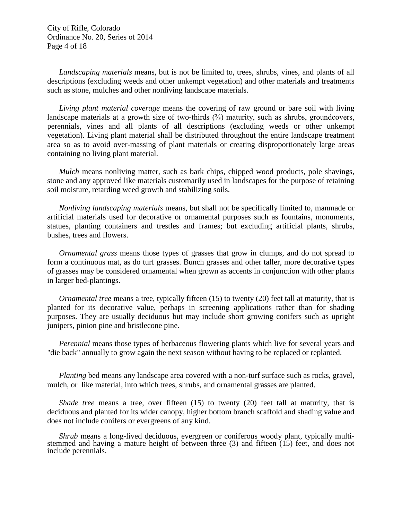City of Rifle, Colorado Ordinance No. 20, Series of 2014 Page 4 of 18

*Landscaping materials* means, but is not be limited to, trees, shrubs, vines, and plants of all descriptions (excluding weeds and other unkempt vegetation) and other materials and treatments such as stone, mulches and other nonliving landscape materials.

*Living plant material coverage* means the covering of raw ground or bare soil with living landscape materials at a growth size of two-thirds  $\frac{1}{2}$  maturity, such as shrubs, groundcovers, perennials, vines and all plants of all descriptions (excluding weeds or other unkempt vegetation). Living plant material shall be distributed throughout the entire landscape treatment area so as to avoid over-massing of plant materials or creating disproportionately large areas containing no living plant material.

*Mulch* means nonliving matter, such as bark chips, chipped wood products, pole shavings, stone and any approved like materials customarily used in landscapes for the purpose of retaining soil moisture, retarding weed growth and stabilizing soils.

*Nonliving landscaping materials* means, but shall not be specifically limited to, manmade or artificial materials used for decorative or ornamental purposes such as fountains, monuments, statues, planting containers and trestles and frames; but excluding artificial plants, shrubs, bushes, trees and flowers.

*Ornamental grass* means those types of grasses that grow in clumps, and do not spread to form a continuous mat, as do turf grasses. Bunch grasses and other taller, more decorative types of grasses may be considered ornamental when grown as accents in conjunction with other plants in larger bed-plantings.

*Ornamental tree* means a tree, typically fifteen (15) to twenty (20) feet tall at maturity, that is planted for its decorative value, perhaps in screening applications rather than for shading purposes. They are usually deciduous but may include short growing conifers such as upright junipers, pinion pine and bristlecone pine.

*Perennial* means those types of herbaceous flowering plants which live for several years and "die back" annually to grow again the next season without having to be replaced or replanted.

*Planting* bed means any landscape area covered with a non-turf surface such as rocks, gravel, mulch, or like material, into which trees, shrubs, and ornamental grasses are planted.

*Shade tree* means a tree, over fifteen (15) to twenty (20) feet tall at maturity, that is deciduous and planted for its wider canopy, higher bottom branch scaffold and shading value and does not include conifers or evergreens of any kind.

*Shrub* means a long-lived deciduous, evergreen or coniferous woody plant, typically multi-<br>stemmed and having a mature height of between three (3) and fifteen (15) feet, and does not include perennials.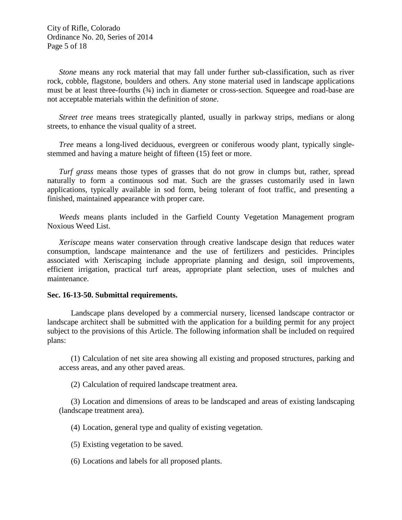City of Rifle, Colorado Ordinance No. 20, Series of 2014 Page 5 of 18

*Stone* means any rock material that may fall under further sub-classification, such as river rock, cobble, flagstone, boulders and others. Any stone material used in landscape applications must be at least three-fourths (34) inch in diameter or cross-section. Squeegee and road-base are not acceptable materials within the definition of *stone*.

*Street tree* means trees strategically planted, usually in parkway strips, medians or along streets, to enhance the visual quality of a street.

*Tree* means a long-lived deciduous, evergreen or coniferous woody plant, typically singlestemmed and having a mature height of fifteen (15) feet or more.

*Turf grass* means those types of grasses that do not grow in clumps but, rather, spread naturally to form a continuous sod mat. Such are the grasses customarily used in lawn applications, typically available in sod form, being tolerant of foot traffic, and presenting a finished, maintained appearance with proper care.

*Weeds* means plants included in the Garfield County Vegetation Management program Noxious Weed List.

*Xeriscape* means water conservation through creative landscape design that reduces water consumption, landscape maintenance and the use of fertilizers and pesticides. Principles associated with Xeriscaping include appropriate planning and design, soil improvements, efficient irrigation, practical turf areas, appropriate plant selection, uses of mulches and maintenance.

#### **Sec. 16-13-50. Submittal requirements.**

Landscape plans developed by a commercial nursery, licensed landscape contractor or landscape architect shall be submitted with the application for a building permit for any project subject to the provisions of this Article. The following information shall be included on required plans:

(1) Calculation of net site area showing all existing and proposed structures, parking and access areas, and any other paved areas.

(2) Calculation of required landscape treatment area.

(3) Location and dimensions of areas to be landscaped and areas of existing landscaping (landscape treatment area).

(4) Location, general type and quality of existing vegetation.

(5) Existing vegetation to be saved.

(6) Locations and labels for all proposed plants.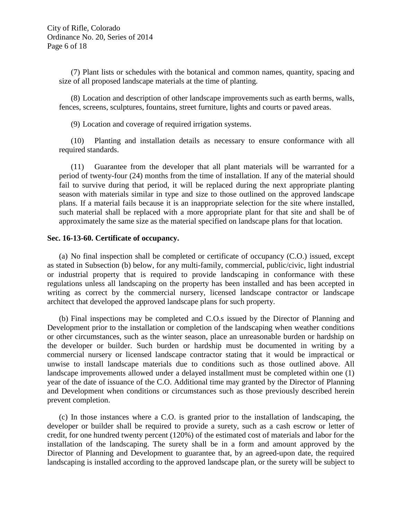(7) Plant lists or schedules with the botanical and common names, quantity, spacing and size of all proposed landscape materials at the time of planting.

(8) Location and description of other landscape improvements such as earth berms, walls, fences, screens, sculptures, fountains, street furniture, lights and courts or paved areas.

(9) Location and coverage of required irrigation systems.

(10) Planting and installation details as necessary to ensure conformance with all required standards.

(11) Guarantee from the developer that all plant materials will be warranted for a period of twenty-four (24) months from the time of installation. If any of the material should fail to survive during that period, it will be replaced during the next appropriate planting season with materials similar in type and size to those outlined on the approved landscape plans. If a material fails because it is an inappropriate selection for the site where installed, such material shall be replaced with a more appropriate plant for that site and shall be of approximately the same size as the material specified on landscape plans for that location.

## **Sec. 16-13-60. Certificate of occupancy.**

(a) No final inspection shall be completed or certificate of occupancy (C.O.) issued, except as stated in Subsection (b) below, for any multi-family, commercial, public/civic, light industrial or industrial property that is required to provide landscaping in conformance with these regulations unless all landscaping on the property has been installed and has been accepted in writing as correct by the commercial nursery, licensed landscape contractor or landscape architect that developed the approved landscape plans for such property.

(b) Final inspections may be completed and C.O.s issued by the Director of Planning and Development prior to the installation or completion of the landscaping when weather conditions or other circumstances, such as the winter season, place an unreasonable burden or hardship on the developer or builder. Such burden or hardship must be documented in writing by a commercial nursery or licensed landscape contractor stating that it would be impractical or unwise to install landscape materials due to conditions such as those outlined above. All landscape improvements allowed under a delayed installment must be completed within one (1) year of the date of issuance of the C.O. Additional time may granted by the Director of Planning and Development when conditions or circumstances such as those previously described herein prevent completion.

(c) In those instances where a C.O. is granted prior to the installation of landscaping, the developer or builder shall be required to provide a surety, such as a cash escrow or letter of credit, for one hundred twenty percent (120%) of the estimated cost of materials and labor for the installation of the landscaping. The surety shall be in a form and amount approved by the Director of Planning and Development to guarantee that, by an agreed-upon date, the required landscaping is installed according to the approved landscape plan, or the surety will be subject to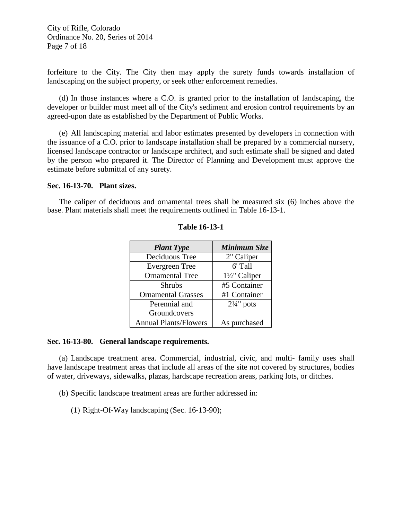City of Rifle, Colorado Ordinance No. 20, Series of 2014 Page 7 of 18

forfeiture to the City. The City then may apply the surety funds towards installation of landscaping on the subject property, or seek other enforcement remedies.

(d) In those instances where a C.O. is granted prior to the installation of landscaping, the developer or builder must meet all of the City's sediment and erosion control requirements by an agreed-upon date as established by the Department of Public Works.

(e) All landscaping material and labor estimates presented by developers in connection with the issuance of a C.O. prior to landscape installation shall be prepared by a commercial nursery, licensed landscape contractor or landscape architect, and such estimate shall be signed and dated by the person who prepared it. The Director of Planning and Development must approve the estimate before submittal of any surety.

### **Sec. 16-13-70. Plant sizes.**

The caliper of deciduous and ornamental trees shall be measured six (6) inches above the base. Plant materials shall meet the requirements outlined in Table 16-13-1.

| <b>Plant Type</b>            | <b>Minimum Size</b>      |
|------------------------------|--------------------------|
| Deciduous Tree               | 2" Caliper               |
| <b>Evergreen</b> Tree        | 6' Tall                  |
| <b>Ornamental Tree</b>       | $1\frac{1}{2}$ " Caliper |
| <b>Shrubs</b>                | #5 Container             |
| <b>Ornamental Grasses</b>    | #1 Container             |
| Perennial and                | $2\frac{1}{4}$ " pots    |
| Groundcovers                 |                          |
| <b>Annual Plants/Flowers</b> | As purchased             |

## **Table 16-13-1**

### **Sec. 16-13-80. General landscape requirements.**

(a) Landscape treatment area. Commercial, industrial, civic, and multi- family uses shall have landscape treatment areas that include all areas of the site not covered by structures, bodies of water, driveways, sidewalks, plazas, hardscape recreation areas, parking lots, or ditches.

(b) Specific landscape treatment areas are further addressed in:

(1) Right-Of-Way landscaping (Sec. 16-13-90);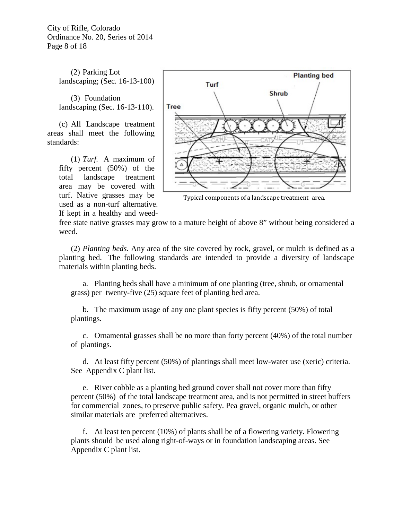City of Rifle, Colorado Ordinance No. 20, Series of 2014 Page 8 of 18

> (2) Parking Lot landscaping; (Sec. 16-13-100)

> (3) Foundation landscaping (Sec. 16-13-110).

(c) All Landscape treatment areas shall meet the following standards:

> (1) *Turf.* A maximum of fifty percent (50%) of the total landscape treatment area may be covered with turf. Native grasses may be used as a non-turf alternative. If kept in a healthy and weed-



Typical components of a landscape treatment area.

free state native grasses may grow to a mature height of above 8" without being considered a weed.

(2) *Planting beds*. Any area of the site covered by rock, gravel, or mulch is defined as a planting bed. The following standards are intended to provide a diversity of landscape materials within planting beds.

a. Planting beds shall have a minimum of one planting (tree, shrub, or ornamental grass) per twenty-five (25) square feet of planting bed area.

b. The maximum usage of any one plant species is fifty percent (50%) of total plantings.

c. Ornamental grasses shall be no more than forty percent (40%) of the total number of plantings.

d. At least fifty percent (50%) of plantings shall meet low-water use (xeric) criteria. See Appendix C plant list.

e. River cobble as a planting bed ground cover shall not cover more than fifty percent (50%) of the total landscape treatment area, and is not permitted in street buffers for commercial zones, to preserve public safety. Pea gravel, organic mulch, or other similar materials are preferred alternatives.

f. At least ten percent (10%) of plants shall be of a flowering variety. Flowering plants should be used along right-of-ways or in foundation landscaping areas. See Appendix C plant list.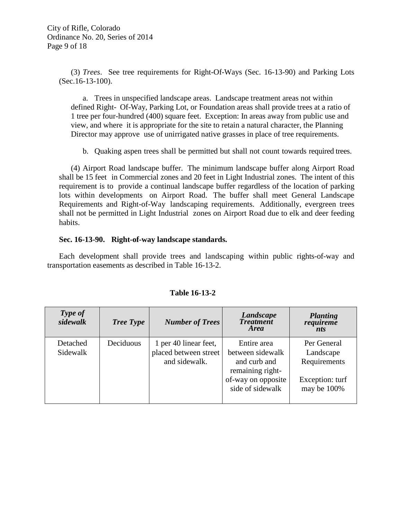(3) *Trees*. See tree requirements for Right-Of-Ways (Sec. 16-13-90) and Parking Lots (Sec.16-13-100).

a. Trees in unspecified landscape areas. Landscape treatment areas not within defined Right- Of-Way, Parking Lot, or Foundation areas shall provide trees at a ratio of 1 tree per four-hundred (400) square feet. Exception: In areas away from public use and view, and where it is appropriate for the site to retain a natural character, the Planning Director may approve use of unirrigated native grasses in place of tree requirements.

b. Quaking aspen trees shall be permitted but shall not count towards required trees.

(4) Airport Road landscape buffer. The minimum landscape buffer along Airport Road shall be 15 feet in Commercial zones and 20 feet in Light Industrial zones. The intent of this requirement is to provide a continual landscape buffer regardless of the location of parking lots within developments on Airport Road. The buffer shall meet General Landscape Requirements and Right-of-Way landscaping requirements. Additionally, evergreen trees shall not be permitted in Light Industrial zones on Airport Road due to elk and deer feeding habits.

# **Sec. 16-13-90. Right-of-way landscape standards.**

Each development shall provide trees and landscaping within public rights-of-way and transportation easements as described in Table 16-13-2.

| Type of<br>sidewalk  | <b>Tree Type</b> | <b>Number of Trees</b>                                          | Landscape<br><b>Treatment</b><br><b>Area</b>                                                                  | <b>Planting</b><br>requireme<br>nts                                        |
|----------------------|------------------|-----------------------------------------------------------------|---------------------------------------------------------------------------------------------------------------|----------------------------------------------------------------------------|
| Detached<br>Sidewalk | Deciduous        | 1 per 40 linear feet,<br>placed between street<br>and sidewalk. | Entire area<br>between sidewalk<br>and curb and<br>remaining right-<br>of-way on opposite<br>side of sidewalk | Per General<br>Landscape<br>Requirements<br>Exception: turf<br>may be 100% |

# **Table 16-13-2**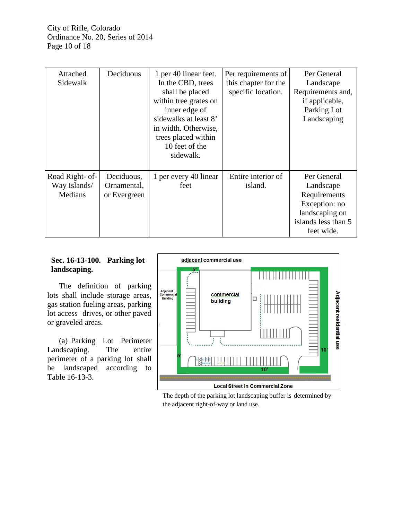| Attached<br>Sidewalk                       | Deciduous                                 | 1 per 40 linear feet.<br>In the CBD, trees<br>shall be placed<br>within tree grates on<br>inner edge of<br>sidewalks at least 8'<br>in width. Otherwise,<br>trees placed within<br>10 feet of the<br>sidewalk. | Per requirements of<br>this chapter for the<br>specific location. | Per General<br>Landscape<br>Requirements and,<br>if applicable,<br>Parking Lot<br>Landscaping                    |
|--------------------------------------------|-------------------------------------------|----------------------------------------------------------------------------------------------------------------------------------------------------------------------------------------------------------------|-------------------------------------------------------------------|------------------------------------------------------------------------------------------------------------------|
| Road Right- of-<br>Way Islands/<br>Medians | Deciduous,<br>Ornamental,<br>or Evergreen | 1 per every 40 linear<br>feet                                                                                                                                                                                  | Entire interior of<br>island.                                     | Per General<br>Landscape<br>Requirements<br>Exception: no<br>landscaping on<br>islands less than 5<br>feet wide. |

# **Sec. 16-13-100. Parking lot landscaping.**

The definition of parking lots shall include storage areas, gas station fueling areas, parking lot access drives, or other paved or graveled areas.

(a) Parking Lot Perimeter Landscaping. The entire perimeter of a parking lot shall be landscaped according to Table 16-13-3.



The depth of the parking lot landscaping buffer is determined by the adjacent right-of-way or land use.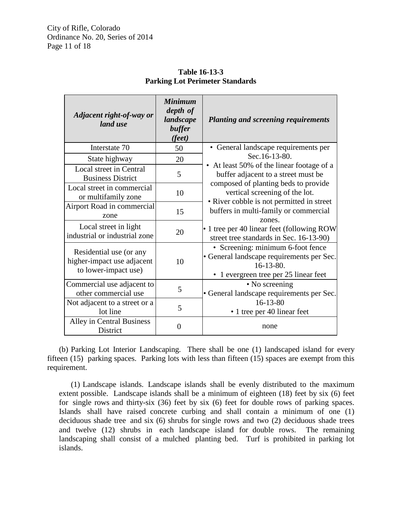| Adjacent right-of-way or<br>land use                                          | <b>Minimum</b><br>depth of<br>landscape<br>buffer<br>( <i>feet</i> ) | <b>Planting and screening requirements</b>                                                                                                                                            |  |
|-------------------------------------------------------------------------------|----------------------------------------------------------------------|---------------------------------------------------------------------------------------------------------------------------------------------------------------------------------------|--|
| Interstate 70                                                                 | 50                                                                   | • General landscape requirements per                                                                                                                                                  |  |
| State highway                                                                 | 20                                                                   | Sec. 16-13-80.                                                                                                                                                                        |  |
| Local street in Central<br><b>Business District</b>                           | 5                                                                    | • At least 50% of the linear footage of a<br>buffer adjacent to a street must be                                                                                                      |  |
| Local street in commercial<br>or multifamily zone                             | 10                                                                   | composed of planting beds to provide<br>vertical screening of the lot.                                                                                                                |  |
| Airport Road in commercial<br>zone                                            | 15                                                                   | • River cobble is not permitted in street<br>buffers in multi-family or commercial<br>zones.<br>• 1 tree per 40 linear feet (following ROW<br>street tree standards in Sec. 16-13-90) |  |
| Local street in light<br>industrial or industrial zone                        | 20                                                                   |                                                                                                                                                                                       |  |
| Residential use (or any<br>higher-impact use adjacent<br>to lower-impact use) | 10                                                                   | • Screening: minimum 6-foot fence<br>• General landscape requirements per Sec.<br>$16 - 13 - 80$ .<br>• 1 evergreen tree per 25 linear feet                                           |  |
| Commercial use adjacent to<br>other commercial use                            | 5                                                                    | • No screening<br>• General landscape requirements per Sec.                                                                                                                           |  |
| Not adjacent to a street or a<br>lot line                                     | 5                                                                    | $16 - 13 - 80$<br>• 1 tree per 40 linear feet                                                                                                                                         |  |
| Alley in Central Business<br>District                                         | 0                                                                    | none                                                                                                                                                                                  |  |

**Table 16-13-3 Parking Lot Perimeter Standards**

(b) Parking Lot Interior Landscaping. There shall be one (1) landscaped island for every fifteen (15) parking spaces. Parking lots with less than fifteen (15) spaces are exempt from this requirement.

(1) Landscape islands. Landscape islands shall be evenly distributed to the maximum extent possible. Landscape islands shall be a minimum of eighteen (18) feet by six (6) feet for single rows and thirty-six (36) feet by six (6) feet for double rows of parking spaces. Islands shall have raised concrete curbing and shall contain a minimum of one (1) deciduous shade tree and six (6) shrubs for single rows and two (2) deciduous shade trees and twelve (12) shrubs in each landscape island for double rows. The remaining landscaping shall consist of a mulched planting bed. Turf is prohibited in parking lot islands.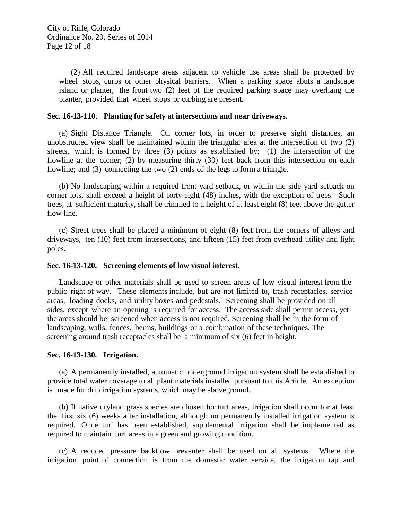(2) All required landscape areas adjacent to vehicle use areas shall be protected by wheel stops, curbs or other physical barriers. When a parking space abuts a landscape island or planter, the front two (2) feet of the required parking space may overhang the planter, provided that wheel stops or curbing are present.

## **Sec. 16-13-110. Planting for safety at intersections and near driveways.**

(a) Sight Distance Triangle. On corner lots, in order to preserve sight distances, an unobstructed view shall be maintained within the triangular area at the intersection of two (2) streets, which is formed by three (3) points as established by: (1) the intersection of the flowline at the corner; (2) by measuring thirty (30) feet back from this intersection on each flowline; and (3) connecting the two (2) ends of the legs to form a triangle.

(b) No landscaping within a required front yard setback, or within the side yard setback on corner lots, shall exceed a height of forty-eight (48) inches, with the exception of trees. Such trees, at sufficient maturity, shall be trimmed to a height of at least eight (8) feet above the gutter flow line.

(c) Street trees shall be placed a minimum of eight (8) feet from the corners of alleys and driveways, ten (10) feet from intersections, and fifteen (15) feet from overhead utility and light poles.

## **Sec. 16-13-120. Screening elements of low visual interest.**

Landscape or other materials shall be used to screen areas of low visual interest from the public right of way. These elements include, but are not limited to, trash receptacles, service areas, loading docks, and utility boxes and pedestals. Screening shall be provided on all sides, except where an opening is required for access. The access side shall permit access, yet the areas should be screened when access is not required. Screening shall be in the form of landscaping, walls, fences, berms, buildings or a combination of these techniques. The screening around trash receptacles shall be a minimum of six (6) feet in height.

## **Sec. 16-13-130. Irrigation.**

(a) A permanently installed, automatic underground irrigation system shall be established to provide total water coverage to all plant materials installed pursuant to this Article. An exception is made for drip irrigation systems, which may be aboveground.

(b) If native dryland grass species are chosen for turf areas, irrigation shall occur for at least the first six (6) weeks after installation, although no permanently installed irrigation system is required. Once turf has been established, supplemental irrigation shall be implemented as required to maintain turf areas in a green and growing condition.

(c) A reduced pressure backflow preventer shall be used on all systems. Where the irrigation point of connection is from the domestic water service, the irrigation tap and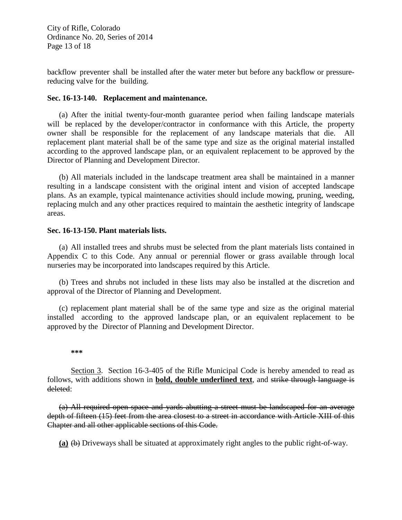City of Rifle, Colorado Ordinance No. 20, Series of 2014 Page 13 of 18

backflow preventer shall be installed after the water meter but before any backflow or pressurereducing valve for the building.

## **Sec. 16-13-140. Replacement and maintenance.**

(a) After the initial twenty-four-month guarantee period when failing landscape materials will be replaced by the developer/contractor in conformance with this Article, the property owner shall be responsible for the replacement of any landscape materials that die. All replacement plant material shall be of the same type and size as the original material installed according to the approved landscape plan, or an equivalent replacement to be approved by the Director of Planning and Development Director.

(b) All materials included in the landscape treatment area shall be maintained in a manner resulting in a landscape consistent with the original intent and vision of accepted landscape plans. As an example, typical maintenance activities should include mowing, pruning, weeding, replacing mulch and any other practices required to maintain the aesthetic integrity of landscape areas.

## **Sec. 16-13-150. Plant materials lists.**

(a) All installed trees and shrubs must be selected from the plant materials lists contained in Appendix C to this Code. Any annual or perennial flower or grass available through local nurseries may be incorporated into landscapes required by this Article.

(b) Trees and shrubs not included in these lists may also be installed at the discretion and approval of the Director of Planning and Development.

(c) replacement plant material shall be of the same type and size as the original material installed according to the approved landscape plan, or an equivalent replacement to be approved by the Director of Planning and Development Director.

#### **\*\*\***

Section 3. Section 16-3-405 of the Rifle Municipal Code is hereby amended to read as follows, with additions shown in **bold, double underlined text**, and strike through language is deleted:

(a) All required open space and yards abutting a street must be landscaped for an average depth of fifteen (15) feet from the area closest to a street in accordance with Article XIII of this Chapter and all other applicable sections of this Code.

**(a)** (b) Driveways shall be situated at approximately right angles to the public right-of-way.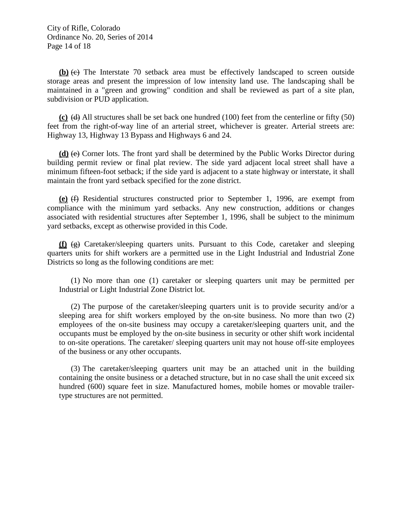**(b)** (c) The Interstate 70 setback area must be effectively landscaped to screen outside storage areas and present the impression of low intensity land use. The landscaping shall be maintained in a "green and growing" condition and shall be reviewed as part of a site plan, subdivision or PUD application.

**(c)** (d) All structures shall be set back one hundred (100) feet from the centerline or fifty (50) feet from the right-of-way line of an arterial street, whichever is greater. Arterial streets are: Highway 13, Highway 13 Bypass and Highways 6 and 24.

**(d)** (e) Corner lots. The front yard shall be determined by the Public Works Director during building permit review or final plat review. The side yard adjacent local street shall have a minimum fifteen-foot setback; if the side yard is adjacent to a state highway or interstate, it shall maintain the front yard setback specified for the zone district.

**(e)** (f) Residential structures constructed prior to September 1, 1996, are exempt from compliance with the minimum yard setbacks. Any new construction, additions or changes associated with residential structures after September 1, 1996, shall be subject to the minimum yard setbacks, except as otherwise provided in this Code.

**(f)**  $\left(\frac{\mathbf{e}}{\mathbf{e}}\right)$  Caretaker/sleeping quarters units. Pursuant to this Code, caretaker and sleeping quarters units for shift workers are a permitted use in the Light Industrial and Industrial Zone Districts so long as the following conditions are met:

(1) No more than one (1) caretaker or sleeping quarters unit may be permitted per Industrial or Light Industrial Zone District lot.

(2) The purpose of the caretaker/sleeping quarters unit is to provide security and/or a sleeping area for shift workers employed by the on-site business. No more than two (2) employees of the on-site business may occupy a caretaker/sleeping quarters unit, and the occupants must be employed by the on-site business in security or other shift work incidental to on-site operations. The caretaker/ sleeping quarters unit may not house off-site employees of the business or any other occupants.

(3) The caretaker/sleeping quarters unit may be an attached unit in the building containing the onsite business or a detached structure, but in no case shall the unit exceed six hundred (600) square feet in size. Manufactured homes, mobile homes or movable trailertype structures are not permitted.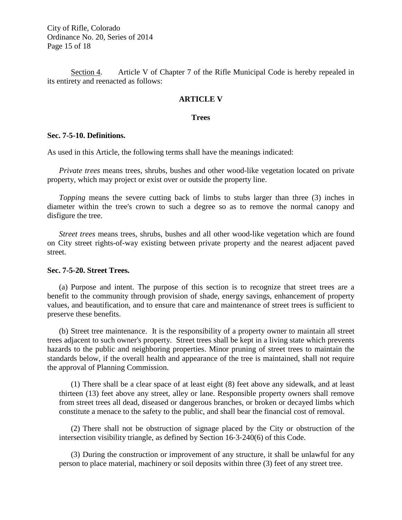City of Rifle, Colorado Ordinance No. 20, Series of 2014 Page 15 of 18

Section 4. Article V of Chapter 7 of the Rifle Municipal Code is hereby repealed in its entirety and reenacted as follows:

## **ARTICLE V**

### **Trees**

### **Sec. 7-5-10. Definitions.**

As used in this Article, the following terms shall have the meanings indicated:

*Private trees* means trees, shrubs, bushes and other wood-like vegetation located on private property, which may project or exist over or outside the property line.

*Topping* means the severe cutting back of limbs to stubs larger than three (3) inches in diameter within the tree's crown to such a degree so as to remove the normal canopy and disfigure the tree.

*Street trees* means trees, shrubs, bushes and all other wood-like vegetation which are found on City street rights-of-way existing between private property and the nearest adjacent paved street.

## **Sec. 7-5-20. Street Trees.**

(a) Purpose and intent. The purpose of this section is to recognize that street trees are a benefit to the community through provision of shade, energy savings, enhancement of property values, and beautification, and to ensure that care and maintenance of street trees is sufficient to preserve these benefits.

(b) Street tree maintenance. It is the responsibility of a property owner to maintain all street trees adjacent to such owner's property. Street trees shall be kept in a living state which prevents hazards to the public and neighboring properties. Minor pruning of street trees to maintain the standards below, if the overall health and appearance of the tree is maintained, shall not require the approval of Planning Commission.

(1) There shall be a clear space of at least eight (8) feet above any sidewalk, and at least thirteen (13) feet above any street, alley or lane. Responsible property owners shall remove from street trees all dead, diseased or dangerous branches, or broken or decayed limbs which constitute a menace to the safety to the public, and shall bear the financial cost of removal.

(2) There shall not be obstruction of signage placed by the City or obstruction of the intersection visibility triangle, as defined by Section 16‐3‐240(6) of this Code.

(3) During the construction or improvement of any structure, it shall be unlawful for any person to place material, machinery or soil deposits within three (3) feet of any street tree.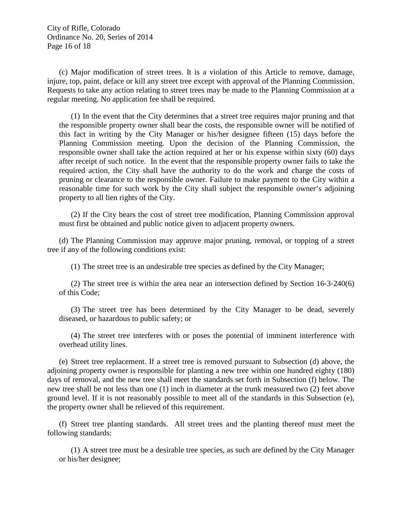City of Rifle, Colorado Ordinance No. 20, Series of 2014 Page 16 of 18

(c) Major modification of street trees. It is a violation of this Article to remove, damage, injure, top, paint, deface or kill any street tree except with approval of the Planning Commission. Requests to take any action relating to street trees may be made to the Planning Commission at a regular meeting. No application fee shall be required.

(1) In the event that the City determines that a street tree requires major pruning and that the responsible property owner shall bear the costs, the responsible owner will be notified of this fact in writing by the City Manager or his/her designee fifteen (15) days before the Planning Commission meeting. Upon the decision of the Planning Commission, the responsible owner shall take the action required at her or his expense within sixty (60) days after receipt of such notice. In the event that the responsible property owner fails to take the required action, the City shall have the authority to do the work and charge the costs of pruning or clearance to the responsible owner. Failure to make payment to the City within a reasonable time for such work by the City shall subject the responsible owner's adjoining property to all lien rights of the City.

(2) If the City bears the cost of street tree modification, Planning Commission approval must first be obtained and public notice given to adjacent property owners.

(d) The Planning Commission may approve major pruning, removal, or topping of a street tree if any of the following conditions exist:

(1) The street tree is an undesirable tree species as defined by the City Manager;

(2) The street tree is within the area near an intersection defined by Section 16‐3‐240(6) of this Code;

(3) The street tree has been determined by the City Manager to be dead, severely diseased, or hazardous to public safety; or

(4) The street tree interferes with or poses the potential of imminent interference with overhead utility lines.

(e) Street tree replacement. If a street tree is removed pursuant to Subsection (d) above, the adjoining property owner is responsible for planting a new tree within one hundred eighty (180) days of removal, and the new tree shall meet the standards set forth in Subsection (f) below. The new tree shall be not less than one (1) inch in diameter at the trunk measured two (2) feet above ground level. If it is not reasonably possible to meet all of the standards in this Subsection (e), the property owner shall be relieved of this requirement.

(f) Street tree planting standards. All street trees and the planting thereof must meet the following standards:

(1) A street tree must be a desirable tree species, as such are defined by the City Manager or his/her designee;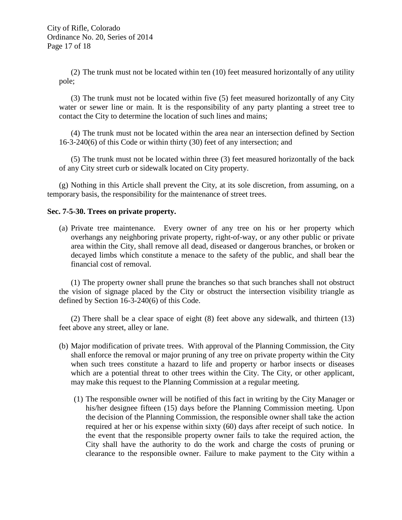(2) The trunk must not be located within ten (10) feet measured horizontally of any utility pole;

(3) The trunk must not be located within five (5) feet measured horizontally of any City water or sewer line or main. It is the responsibility of any party planting a street tree to contact the City to determine the location of such lines and mains;

(4) The trunk must not be located within the area near an intersection defined by Section 16‐3‐240(6) of this Code or within thirty (30) feet of any intersection; and

(5) The trunk must not be located within three (3) feet measured horizontally of the back of any City street curb or sidewalk located on City property.

(g) Nothing in this Article shall prevent the City, at its sole discretion, from assuming, on a temporary basis, the responsibility for the maintenance of street trees.

# **Sec. 7-5-30. Trees on private property.**

(a) Private tree maintenance. Every owner of any tree on his or her property which overhangs any neighboring private property, right-of-way, or any other public or private area within the City, shall remove all dead, diseased or dangerous branches, or broken or decayed limbs which constitute a menace to the safety of the public, and shall bear the financial cost of removal.

(1) The property owner shall prune the branches so that such branches shall not obstruct the vision of signage placed by the City or obstruct the intersection visibility triangle as defined by Section 16-3-240(6) of this Code.

(2) There shall be a clear space of eight (8) feet above any sidewalk, and thirteen (13) feet above any street, alley or lane.

- (b) Major modification of private trees. With approval of the Planning Commission, the City shall enforce the removal or major pruning of any tree on private property within the City when such trees constitute a hazard to life and property or harbor insects or diseases which are a potential threat to other trees within the City. The City, or other applicant, may make this request to the Planning Commission at a regular meeting.
	- (1) The responsible owner will be notified of this fact in writing by the City Manager or his/her designee fifteen (15) days before the Planning Commission meeting. Upon the decision of the Planning Commission, the responsible owner shall take the action required at her or his expense within sixty (60) days after receipt of such notice. In the event that the responsible property owner fails to take the required action, the City shall have the authority to do the work and charge the costs of pruning or clearance to the responsible owner. Failure to make payment to the City within a